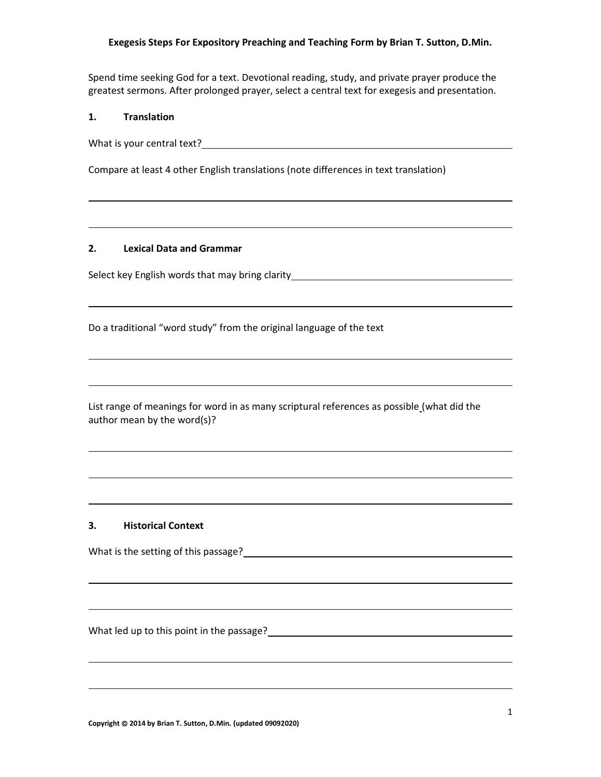Spend time seeking God for a text. Devotional reading, study, and private prayer produce the greatest sermons. After prolonged prayer, select a central text for exegesis and presentation.

#### **1. Translation**

What is your central text?

Compare at least 4 other English translations (note differences in text translation)

#### **2. Lexical Data and Grammar**

Select key English words that may bring clarity **Select Resonance and Select Results** 

Do a traditional "word study" from the original language of the text

List range of meanings for word in as many scriptural references as possible (what did the author mean by the word(s)?

#### **3. Historical Context**

What is the setting of this passage?

What led up to this point in the passage?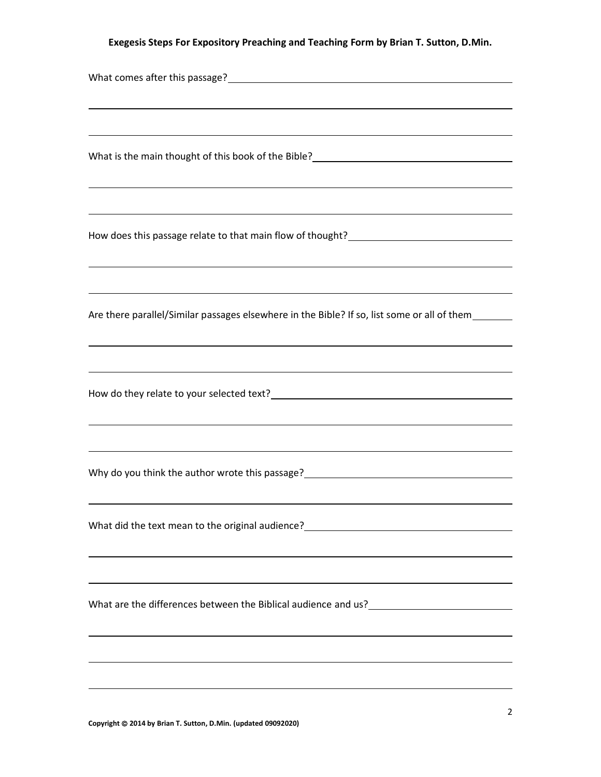| ,我们也不会有什么。""我们的人,我们也不会有什么?""我们的人,我们也不会有什么?""我们的人,我们也不会有什么?""我们的人,我们也不会有什么?""我们的人                                                                                                                                                                                           |  |  |
|----------------------------------------------------------------------------------------------------------------------------------------------------------------------------------------------------------------------------------------------------------------------------|--|--|
|                                                                                                                                                                                                                                                                            |  |  |
| How does this passage relate to that main flow of thought?<br><u>Letter and the manual controller and the main flow of thought?</u>                                                                                                                                        |  |  |
| ,我们也不会有什么。""我们的人,我们也不会有什么?""我们的人,我们也不会有什么?""我们的人,我们也不会有什么?""我们的人,我们也不会有什么?""我们的人<br>Are there parallel/Similar passages elsewhere in the Bible? If so, list some or all of them_______<br>,我们也不会有一个人的人,我们也不会有一个人的人,我们也不会有一个人的人。""我们,我们也不会有一个人的人,我们也不会有一个人的人。""我们,我们也不会有一个人 |  |  |
|                                                                                                                                                                                                                                                                            |  |  |
| Why do you think the author wrote this passage?<br><u> Why do you think the author wrote this passage?</u>                                                                                                                                                                 |  |  |
| <u> 1989 - John Stein, amerikansk politiker (* 1989)</u>                                                                                                                                                                                                                   |  |  |
|                                                                                                                                                                                                                                                                            |  |  |
| ,我们也不会有一个人的人,我们也不会有一个人的人,我们也不会有一个人的人。""我们,我们也不会有一个人的人,我们也不会有一个人的人,我们也不会有一个人的人。""我                                                                                                                                                                                          |  |  |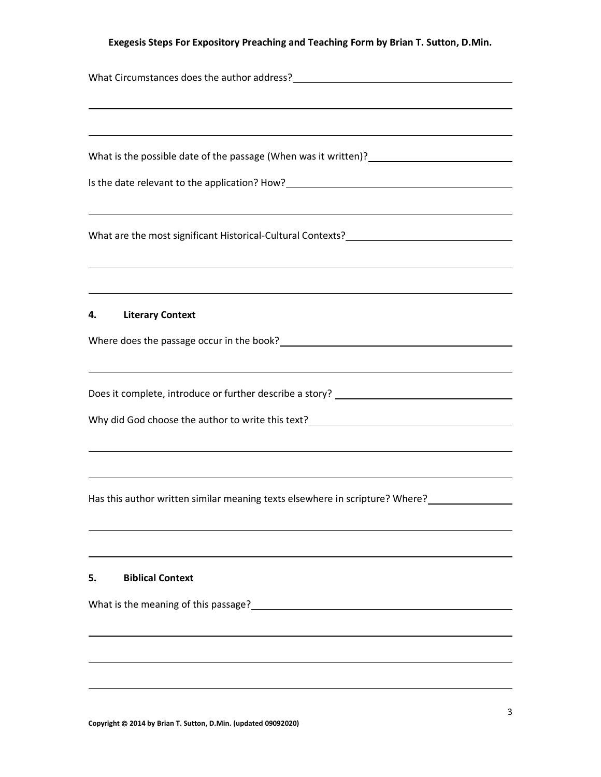| and the control of the control of the control of the control of the control of the control of the control of the<br><u> 1989 - Johann Stoff, amerikansk politiker (* 1908)</u><br><b>Literary Context</b><br>4.<br>,我们也不能在这里的时候,我们也不能在这里的时候,我们也不能会不能会不能会不能会不能会不能会不能会不能会不能会不能会。<br>第2012章 我们的时候,我们的时候,我们的时候,我们的时候,我们的时候,我们的时候,我们的时候,我们的时候,我们的时候,我们的时候,我们的时候,我们的时候,我<br>,我们也不会有什么。""我们的人,我们也不会有什么?""我们的人,我们也不会有什么?""我们的人,我们也不会有什么?""我们的人,我们也不会有什么?""我们的人<br><b>Biblical Context</b><br>5. |                                                                              |  |  |
|-----------------------------------------------------------------------------------------------------------------------------------------------------------------------------------------------------------------------------------------------------------------------------------------------------------------------------------------------------------------------------------------------------------------------------------------------------------------------------------------|------------------------------------------------------------------------------|--|--|
| What are the most significant Historical-Cultural Contexts?______________________                                                                                                                                                                                                                                                                                                                                                                                                       |                                                                              |  |  |
|                                                                                                                                                                                                                                                                                                                                                                                                                                                                                         |                                                                              |  |  |
|                                                                                                                                                                                                                                                                                                                                                                                                                                                                                         |                                                                              |  |  |
|                                                                                                                                                                                                                                                                                                                                                                                                                                                                                         |                                                                              |  |  |
|                                                                                                                                                                                                                                                                                                                                                                                                                                                                                         |                                                                              |  |  |
|                                                                                                                                                                                                                                                                                                                                                                                                                                                                                         |                                                                              |  |  |
|                                                                                                                                                                                                                                                                                                                                                                                                                                                                                         |                                                                              |  |  |
|                                                                                                                                                                                                                                                                                                                                                                                                                                                                                         |                                                                              |  |  |
|                                                                                                                                                                                                                                                                                                                                                                                                                                                                                         |                                                                              |  |  |
|                                                                                                                                                                                                                                                                                                                                                                                                                                                                                         |                                                                              |  |  |
|                                                                                                                                                                                                                                                                                                                                                                                                                                                                                         |                                                                              |  |  |
|                                                                                                                                                                                                                                                                                                                                                                                                                                                                                         |                                                                              |  |  |
|                                                                                                                                                                                                                                                                                                                                                                                                                                                                                         |                                                                              |  |  |
|                                                                                                                                                                                                                                                                                                                                                                                                                                                                                         |                                                                              |  |  |
|                                                                                                                                                                                                                                                                                                                                                                                                                                                                                         |                                                                              |  |  |
|                                                                                                                                                                                                                                                                                                                                                                                                                                                                                         |                                                                              |  |  |
|                                                                                                                                                                                                                                                                                                                                                                                                                                                                                         |                                                                              |  |  |
|                                                                                                                                                                                                                                                                                                                                                                                                                                                                                         |                                                                              |  |  |
|                                                                                                                                                                                                                                                                                                                                                                                                                                                                                         | Has this author written similar meaning texts elsewhere in scripture? Where? |  |  |
|                                                                                                                                                                                                                                                                                                                                                                                                                                                                                         |                                                                              |  |  |
|                                                                                                                                                                                                                                                                                                                                                                                                                                                                                         |                                                                              |  |  |
|                                                                                                                                                                                                                                                                                                                                                                                                                                                                                         |                                                                              |  |  |
|                                                                                                                                                                                                                                                                                                                                                                                                                                                                                         |                                                                              |  |  |
|                                                                                                                                                                                                                                                                                                                                                                                                                                                                                         | What is the meaning of this passage?                                         |  |  |
|                                                                                                                                                                                                                                                                                                                                                                                                                                                                                         |                                                                              |  |  |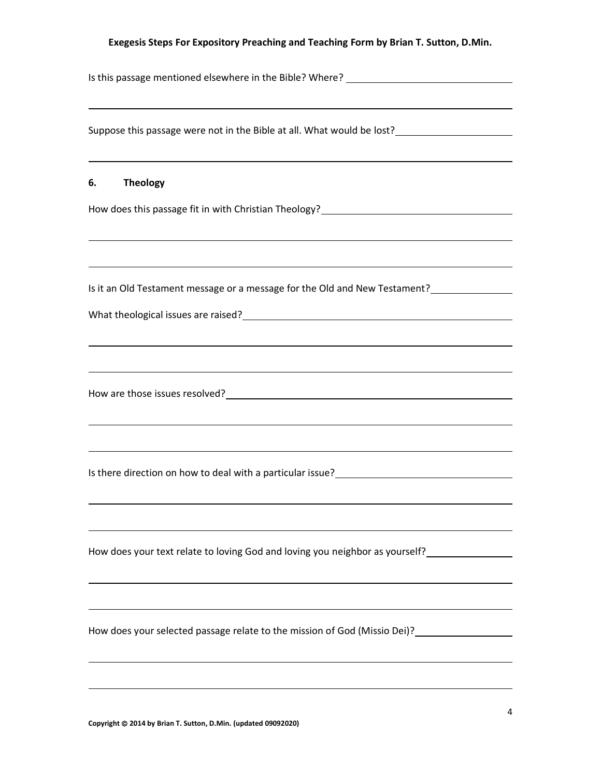| Is this passage mentioned elsewhere in the Bible? Where? _______________________                                                                                                                                                                                                                                                                                                          |  |  |
|-------------------------------------------------------------------------------------------------------------------------------------------------------------------------------------------------------------------------------------------------------------------------------------------------------------------------------------------------------------------------------------------|--|--|
|                                                                                                                                                                                                                                                                                                                                                                                           |  |  |
|                                                                                                                                                                                                                                                                                                                                                                                           |  |  |
| <b>Theology</b><br>6.                                                                                                                                                                                                                                                                                                                                                                     |  |  |
| ,我们也不会有什么。""我们的人,我们也不会有什么?""我们的人,我们也不会有什么?""我们的人,我们也不会有什么?""我们的人,我们也不会有什么?""我们的人                                                                                                                                                                                                                                                                                                          |  |  |
| ,我们也不会有什么。""我们的人,我们也不会有什么?""我们的人,我们也不会有什么?""我们的人,我们也不会有什么?""我们的人,我们也不会有什么?""我们的人<br>Is it an Old Testament message or a message for the Old and New Testament?__________________________                                                                                                                                                                                                  |  |  |
|                                                                                                                                                                                                                                                                                                                                                                                           |  |  |
|                                                                                                                                                                                                                                                                                                                                                                                           |  |  |
|                                                                                                                                                                                                                                                                                                                                                                                           |  |  |
| ,我们也不能在这里的时候,我们也不能在这里的时候,我们也不能会不能会不能会不能会不能会不能会不能会不能会不能会不能会。<br>第2012章 我们的时候,我们的时候,我们的时候,我们的时候,我们的时候,我们的时候,我们的时候,我们的时候,我们的时候,我们的时候,我们的时候,我们的时候,我<br>Is there direction on how to deal with a particular issue?<br><u>Letter and the controller and the controller and the controller and the controller and the controller and the controller and the controller and the controller an</u> |  |  |
| How does your text relate to loving God and loving you neighbor as yourself?                                                                                                                                                                                                                                                                                                              |  |  |
|                                                                                                                                                                                                                                                                                                                                                                                           |  |  |
| How does your selected passage relate to the mission of God (Missio Dei)?                                                                                                                                                                                                                                                                                                                 |  |  |
|                                                                                                                                                                                                                                                                                                                                                                                           |  |  |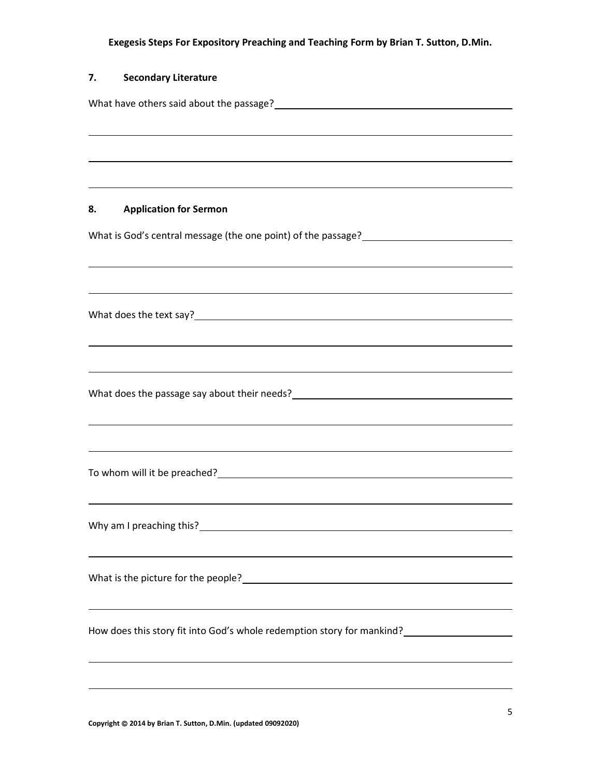| 7. | <b>Secondary Literature</b>                                                                                           |  |  |
|----|-----------------------------------------------------------------------------------------------------------------------|--|--|
|    | What have others said about the passage?<br>Microsage 2020 12020 12020 12020 12020 1203                               |  |  |
|    | <u> 1989 - Andrea Santa Andrea Santa Andrea Santa Andrea Santa Andrea Santa Andrea Santa Andrea Santa Andrea San</u>  |  |  |
|    |                                                                                                                       |  |  |
|    |                                                                                                                       |  |  |
| 8. | <b>Application for Sermon</b>                                                                                         |  |  |
|    |                                                                                                                       |  |  |
|    |                                                                                                                       |  |  |
|    |                                                                                                                       |  |  |
|    |                                                                                                                       |  |  |
|    |                                                                                                                       |  |  |
|    |                                                                                                                       |  |  |
|    |                                                                                                                       |  |  |
|    | What does the passage say about their needs?<br>What does the passage say about their needs?                          |  |  |
|    | <u> 1989 - Jan Samuel Barbara, marka a shekara ta 1989 - An tsara tsa a shekara tsa a shekara tsa a shekara tsa a</u> |  |  |
|    | <u> 1989 - Johann Stoff, amerikansk politiker (d. 1989)</u>                                                           |  |  |
|    | To whom will it be preached?<br>To whom will it be preached?                                                          |  |  |
|    |                                                                                                                       |  |  |
|    |                                                                                                                       |  |  |
|    | <u> 1989 - Johann Stoff, amerikansk politiker (d. 1989)</u>                                                           |  |  |
|    |                                                                                                                       |  |  |
|    |                                                                                                                       |  |  |
|    |                                                                                                                       |  |  |
|    |                                                                                                                       |  |  |
|    |                                                                                                                       |  |  |

**Copyright** © **2014 by Brian T. Sutton, D.Min. (updated 09092020)**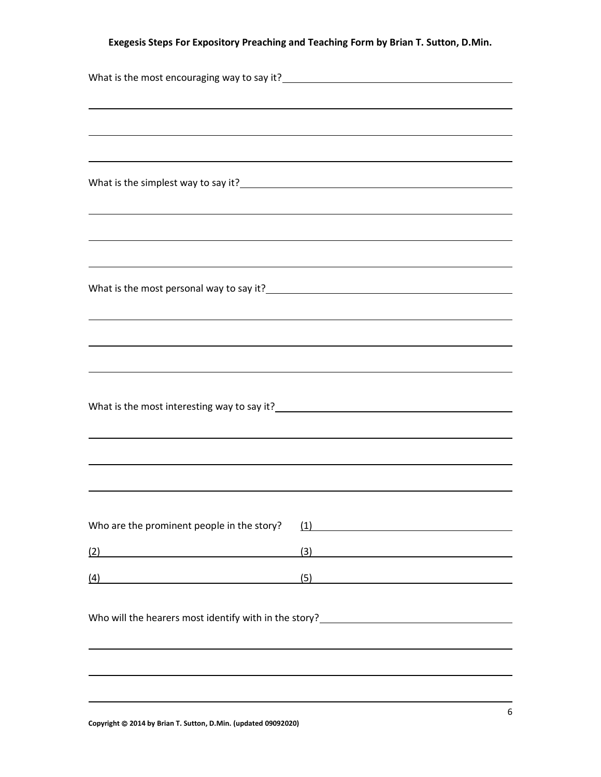|                                                      | What is the most encouraging way to say it?<br><u> What is the most encouraging</u> way to say it?<br><u> </u> |
|------------------------------------------------------|----------------------------------------------------------------------------------------------------------------|
|                                                      | ,我们也不会有什么。""我们的人,我们也不会有什么?""我们的人,我们也不会有什么?""我们的人,我们也不会有什么?""我们的人,我们也不会有什么?""我们的人                               |
|                                                      |                                                                                                                |
|                                                      |                                                                                                                |
|                                                      |                                                                                                                |
|                                                      | What is the simplest way to say it?<br><u> What is the simplest way to say it?</u>                             |
|                                                      | ,我们也不会有什么。""我们的人,我们也不会有什么?""我们的人,我们也不会有什么?""我们的人,我们也不会有什么?""我们的人,我们也不会有什么?""我们的人                               |
|                                                      | ,我们也不会有什么。""我们的人,我们也不会有什么?""我们的人,我们也不会有什么?""我们的人,我们也不会有什么?""我们的人,我们也不会有什么?""我们的人                               |
|                                                      |                                                                                                                |
|                                                      | ,我们也不会有什么。""我们的人,我们也不会有什么?""我们的人,我们也不会有什么?""我们的人,我们也不会有什么?""我们的人,我们也不会有什么?""我们的人                               |
|                                                      | What is the most personal way to say it?<br><u> </u>                                                           |
|                                                      |                                                                                                                |
|                                                      | ,我们也不会有什么。""我们的人,我们也不会有什么?""我们的人,我们也不会有什么?""我们的人,我们也不会有什么?""我们的人,我们也不会有什么?""我们的人                               |
|                                                      |                                                                                                                |
|                                                      |                                                                                                                |
|                                                      |                                                                                                                |
|                                                      |                                                                                                                |
|                                                      |                                                                                                                |
|                                                      |                                                                                                                |
|                                                      |                                                                                                                |
| Who are the prominent people in the story?           | $\left(1\right)$                                                                                               |
| (2)                                                  | (3)                                                                                                            |
| <u> 1980 - Johann Stoff, Amerikaansk politiker (</u> | <u> 1989 - Johann Stein, mars an t-Amerikaansk ferskeizh (</u>                                                 |
| (4)                                                  | (5)<br><u> 1989 - Johann Barn, mars an t-Amerikaansk kommunister (</u>                                         |
|                                                      |                                                                                                                |
|                                                      |                                                                                                                |
|                                                      |                                                                                                                |
|                                                      |                                                                                                                |
|                                                      |                                                                                                                |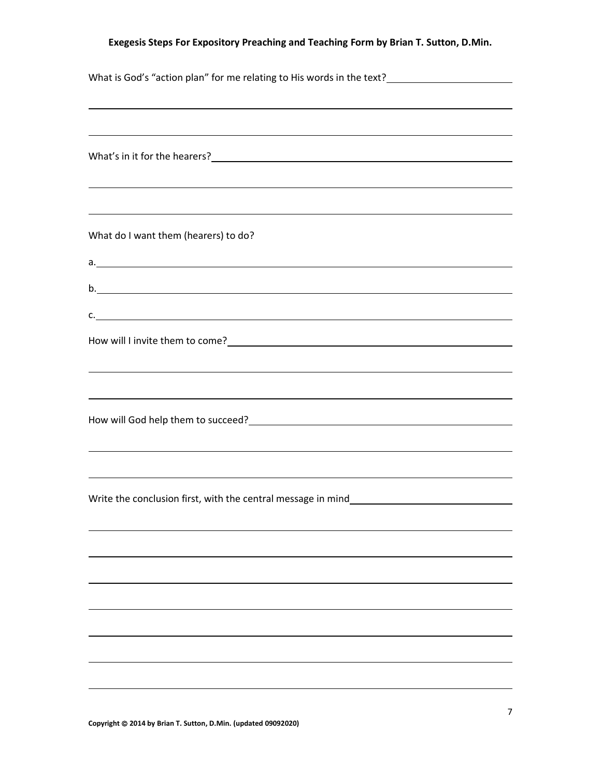| <u> 1989 - Johann John Stone, mensk politik (f. 1989)</u>                                                                                                                                                                              |  |  |
|----------------------------------------------------------------------------------------------------------------------------------------------------------------------------------------------------------------------------------------|--|--|
|                                                                                                                                                                                                                                        |  |  |
|                                                                                                                                                                                                                                        |  |  |
|                                                                                                                                                                                                                                        |  |  |
| <u> 1989 - Andrea Santana, amerikana amerikana amerikana amerikana amerikana amerikana amerikana amerikana amerika</u>                                                                                                                 |  |  |
| <u> 1989 - Johann Stoff, deutscher Stoffen und der Stoffen und der Stoffen und der Stoffen und der Stoffen und der</u>                                                                                                                 |  |  |
| What do I want them (hearers) to do?                                                                                                                                                                                                   |  |  |
| a.                                                                                                                                                                                                                                     |  |  |
| b.                                                                                                                                                                                                                                     |  |  |
| c.                                                                                                                                                                                                                                     |  |  |
| How will I invite them to come?<br><u> Letting and the community of the community of the community of the community of the community of the community of the community of the community of the community of the community of the c</u> |  |  |
| ,我们也不会有什么。""我们的人,我们也不会有什么?""我们的人,我们也不会有什么?""我们的人,我们也不会有什么?""我们的人,我们也不会有什么?""我们的人                                                                                                                                                       |  |  |
| <u> 1989 - Johann Barn, mars and deutscher Stadt and deutscher Stadt and deutscher Stadt and deutscher Stadt and</u>                                                                                                                   |  |  |
| How will God help them to succeed?<br><u> How will God help them to succeed?</u>                                                                                                                                                       |  |  |
|                                                                                                                                                                                                                                        |  |  |
| <u> 1989 - Andrea Santana, amerikana amerikana amerikana amerikana amerikana amerikana amerikana amerikana amerika</u>                                                                                                                 |  |  |
| ,我们也不会有什么。""我们的人,我们也不会有什么?""我们的人,我们也不会有什么?""我们的人,我们也不会有什么?""我们的人,我们也不会有什么?""我们的人                                                                                                                                                       |  |  |
| Write the conclusion first, with the central message in mind_____________________                                                                                                                                                      |  |  |
|                                                                                                                                                                                                                                        |  |  |
|                                                                                                                                                                                                                                        |  |  |
|                                                                                                                                                                                                                                        |  |  |
|                                                                                                                                                                                                                                        |  |  |
|                                                                                                                                                                                                                                        |  |  |
|                                                                                                                                                                                                                                        |  |  |
|                                                                                                                                                                                                                                        |  |  |
|                                                                                                                                                                                                                                        |  |  |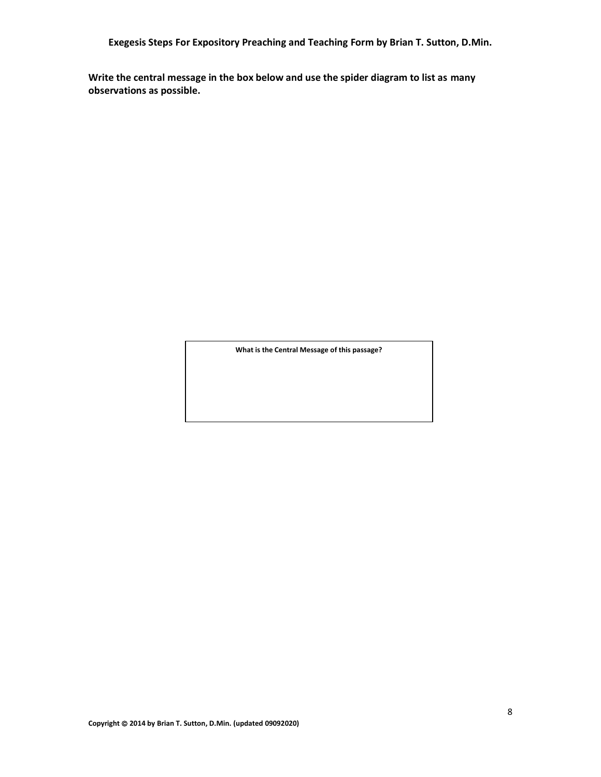**Write the central message in the box below and use the spider diagram to list as many observations as possible.**

**What is the Central Message of this passage?**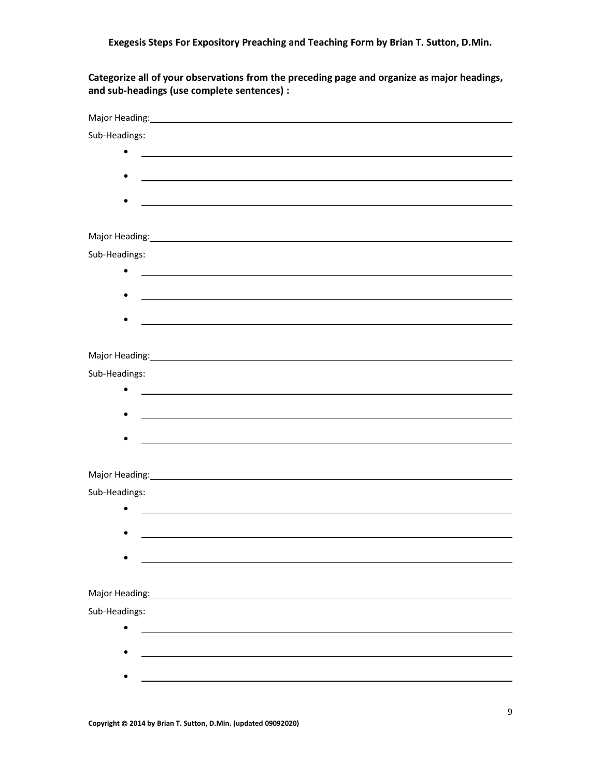**Categorize all of your observations from the preceding page and organize as major headings, and sub-headings (use complete sentences) :**

| Major Heading: 1990 Major Heading: 1990 Major Heading: 1990 Major Heading: 1990 Major Major Major Major Major                                                                                                                  |
|--------------------------------------------------------------------------------------------------------------------------------------------------------------------------------------------------------------------------------|
| Sub-Headings:                                                                                                                                                                                                                  |
|                                                                                                                                                                                                                                |
|                                                                                                                                                                                                                                |
| <u> 1989 - Johann Stoff, deutscher Stoff, der Stoff, der Stoff, der Stoff, der Stoff, der Stoff, der Stoff, der S</u>                                                                                                          |
|                                                                                                                                                                                                                                |
|                                                                                                                                                                                                                                |
|                                                                                                                                                                                                                                |
| Sub-Headings:                                                                                                                                                                                                                  |
|                                                                                                                                                                                                                                |
|                                                                                                                                                                                                                                |
|                                                                                                                                                                                                                                |
|                                                                                                                                                                                                                                |
|                                                                                                                                                                                                                                |
| Major Heading: 1990 Major Heading: 1990 Major Heading: 1990 Major Heading: 1990 Major Heading: 1990 Major Heading: 1990 Major Heading: 1990 Major Heading: 1990 Major Heading: 1990 Major Heading: 1990 Major Heading: 1990 Ma |
| Sub-Headings:                                                                                                                                                                                                                  |
| <u> 1989 - Johann Stoff, amerikansk politiker (d. 1989)</u>                                                                                                                                                                    |
| and the control of the control of the control of the control of the control of the control of the control of the                                                                                                               |
|                                                                                                                                                                                                                                |
|                                                                                                                                                                                                                                |
|                                                                                                                                                                                                                                |
| Major Heading: North Communication of the Communication of the Communication of the Communication of the Communication of the Communication of the Communication of the Communication of the Communication of the Communicatio |
| Sub-Headings:                                                                                                                                                                                                                  |
| <u> 1989 - Johann Stoff, deutscher Stoff, der Stoff, der Stoff, der Stoff, der Stoff, der Stoff, der Stoff, der S</u>                                                                                                          |
|                                                                                                                                                                                                                                |
|                                                                                                                                                                                                                                |
|                                                                                                                                                                                                                                |
| Major Heading: The Contract of the Contract of the Contract of the Contract of the Contract of the Contract of                                                                                                                 |
|                                                                                                                                                                                                                                |
| Sub-Headings:                                                                                                                                                                                                                  |
|                                                                                                                                                                                                                                |
|                                                                                                                                                                                                                                |
|                                                                                                                                                                                                                                |
|                                                                                                                                                                                                                                |